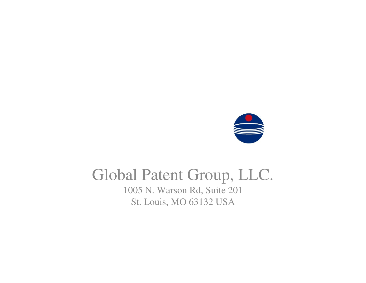

#### Global Patent Group, LLC.

1005 N. Warson Rd, Suite 201St. Louis, MO 63132 USA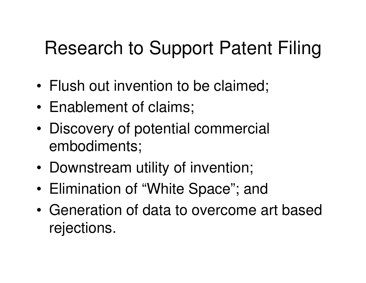## Research to Support Patent Filing

- •Flush out invention to be claimed;
- •Enablement of claims;
- • Discovery of potential commercial embodiments;
- •Downstream utility of invention;
- •Elimination of "White Space"; and
- • Generation of data to overcome art based rejections.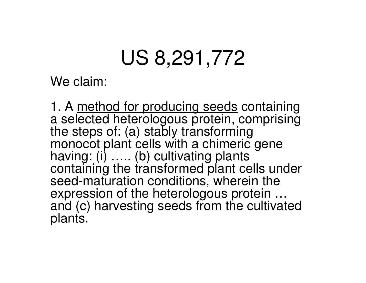# US 8,291,772

We claim:

1. A method for producing seeds containing a selected heterologous protein, comprising the steps of: (a) stably transforming monocot plant cells with a chimeric gene having: (i) ….. (b) cultivating plants containing the transformed plant cells under seed-maturation conditions, wherein the expression of the heterologous protein … and (c) harvesting seeds from the cultivated plants.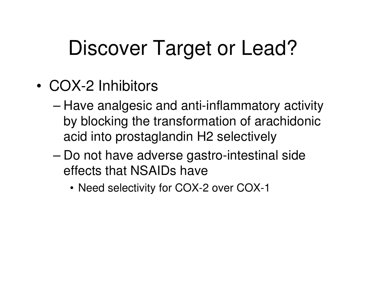# Discover Target or Lead?

- • COX-2 Inhibitors
	- – Have analgesic and anti-inflammatory activity by blocking the transformation of arachidonic acid into prostaglandin H2 selectively
	- – Do not have adverse gastro-intestinal side effects that NSAIDs have
		- Need selectivity for COX-2 over COX-1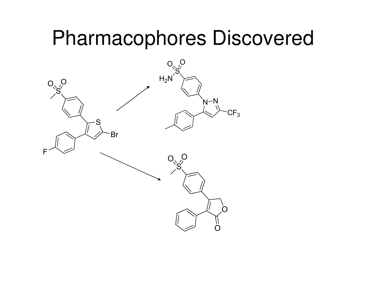## Pharmacophores Discovered